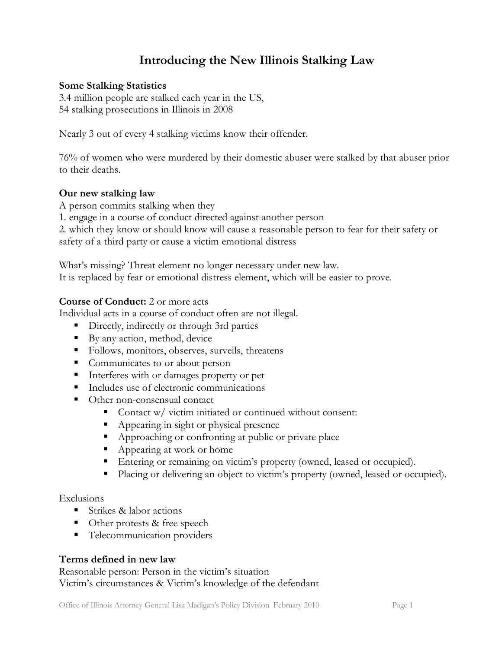# **Introducing the New Illinois Stalking Law**

#### **Some Stalking Statistics**

3.4 million people are stalked each year in the US, 54 stalking prosecutions in Illinois in 2008

Nearly 3 out of every 4 stalking victims know their offender.

76% of women who were murdered by their domestic abuser were stalked by that abuser prior to their deaths.

#### **Our new stalking law**

A person commits stalking when they

1. engage in a course of conduct directed against another person

2. which they know or should know will cause a reasonable person to fear for their safety or safety of a third party or cause a victim emotional distress

What's missing? Threat element no longer necessary under new law. It is replaced by fear or emotional distress element, which will be easier to prove.

#### **Course of Conduct:** 2 or more acts

Individual acts in a course of conduct often are not illegal.

- Directly, indirectly or through 3rd parties
- By any action, method, device
- Follows, monitors, observes, surveils, threatens
- Communicates to or about person
- Interferes with or damages property or pet
- Includes use of electronic communications
- Other non-consensual contact
	- Contact w/ victim initiated or continued without consent:
	- Appearing in sight or physical presence
	- Approaching or confronting at public or private place
	- Appearing at work or home
	- Entering or remaining on victim's property (owned, leased or occupied).
	- Placing or delivering an object to victim's property (owned, leased or occupied).

Exclusions

- **Strikes & labor actions**
- Other protests & free speech
- **Telecommunication providers**

#### **Terms defined in new law**

Reasonable person: Person in the victim's situation Victim's circumstances & Victim's knowledge of the defendant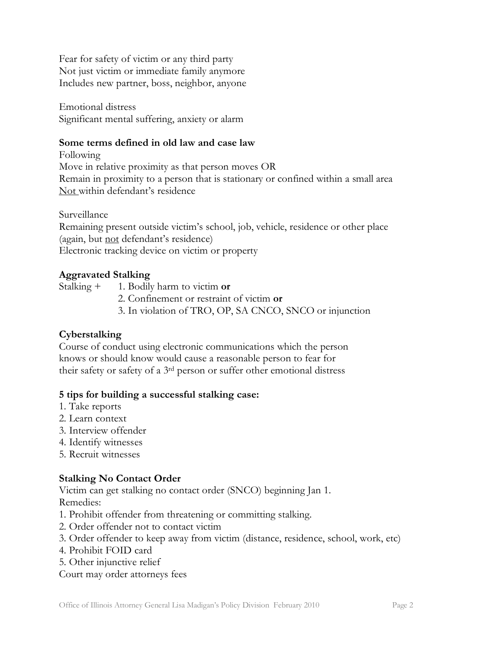Fear for safety of victim or any third party Not just victim or immediate family anymore Includes new partner, boss, neighbor, anyone

Emotional distress Significant mental suffering, anxiety or alarm

#### **Some terms defined in old law and case law**

Following Move in relative proximity as that person moves OR Remain in proximity to a person that is stationary or confined within a small area Not within defendant's residence

Surveillance

Remaining present outside victim's school, job, vehicle, residence or other place (again, but not defendant's residence) Electronic tracking device on victim or property

#### **Aggravated Stalking**

- Stalking + 1. Bodily harm to victim **or**
	- 2. Confinement or restraint of victim **or**
	- 3. In violation of TRO, OP, SA CNCO, SNCO or injunction

### **Cyberstalking**

Course of conduct using electronic communications which the person knows or should know would cause a reasonable person to fear for their safety or safety of a 3rd person or suffer other emotional distress

#### **5 tips for building a successful stalking case:**

- 1. Take reports
- 2. Learn context
- 3. Interview offender
- 4. Identify witnesses
- 5. Recruit witnesses

### **Stalking No Contact Order**

Victim can get stalking no contact order (SNCO) beginning Jan 1. Remedies:

- 1. Prohibit offender from threatening or committing stalking.
- 2. Order offender not to contact victim
- 3. Order offender to keep away from victim (distance, residence, school, work, etc)
- 4. Prohibit FOID card
- 5. Other injunctive relief

Court may order attorneys fees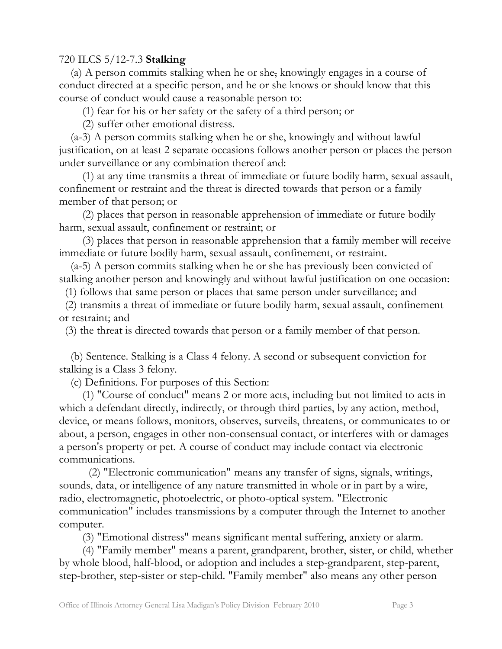#### 720 ILCS 5/12-7.3 **Stalking**

 (a) A person commits stalking when he or she, knowingly engages in a course of conduct directed at a specific person, and he or she knows or should know that this course of conduct would cause a reasonable person to:

(1) fear for his or her safety or the safety of a third person; or

(2) suffer other emotional distress.

 (a-3) A person commits stalking when he or she, knowingly and without lawful justification, on at least 2 separate occasions follows another person or places the person under surveillance or any combination thereof and:

 (1) at any time transmits a threat of immediate or future bodily harm, sexual assault, confinement or restraint and the threat is directed towards that person or a family member of that person; or

 (2) places that person in reasonable apprehension of immediate or future bodily harm, sexual assault, confinement or restraint; or

 (3) places that person in reasonable apprehension that a family member will receive immediate or future bodily harm, sexual assault, confinement, or restraint.

 (a-5) A person commits stalking when he or she has previously been convicted of stalking another person and knowingly and without lawful justification on one occasion:

(1) follows that same person or places that same person under surveillance; and

 (2) transmits a threat of immediate or future bodily harm, sexual assault, confinement or restraint; and

(3) the threat is directed towards that person or a family member of that person.

 (b) Sentence. Stalking is a Class 4 felony. A second or subsequent conviction for stalking is a Class 3 felony.

(c) Definitions. For purposes of this Section:

 (1) "Course of conduct" means 2 or more acts, including but not limited to acts in which a defendant directly, indirectly, or through third parties, by any action, method, device, or means follows, monitors, observes, surveils, threatens, or communicates to or about, a person, engages in other non-consensual contact, or interferes with or damages a person's property or pet. A course of conduct may include contact via electronic communications.

(2) "Electronic communication" means any transfer of signs, signals, writings, sounds, data, or intelligence of any nature transmitted in whole or in part by a wire, radio, electromagnetic, photoelectric, or photo-optical system. "Electronic communication" includes transmissions by a computer through the Internet to another computer.

(3) "Emotional distress" means significant mental suffering, anxiety or alarm.

 (4) "Family member" means a parent, grandparent, brother, sister, or child, whether by whole blood, half-blood, or adoption and includes a step-grandparent, step-parent, step-brother, step-sister or step-child. "Family member" also means any other person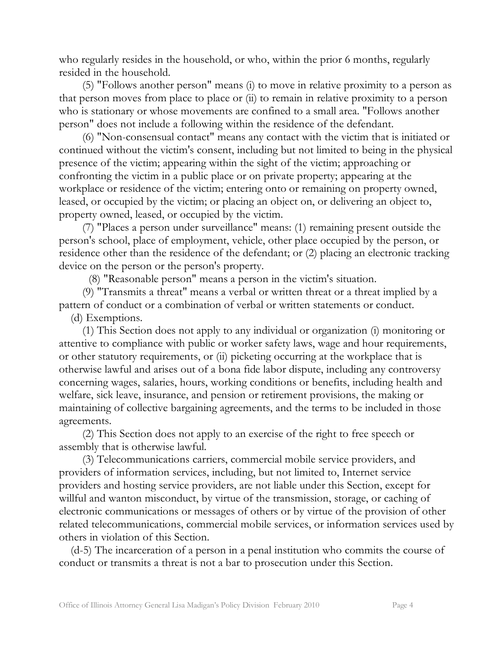who regularly resides in the household, or who, within the prior 6 months, regularly resided in the household.

 (5) "Follows another person" means (i) to move in relative proximity to a person as that person moves from place to place or (ii) to remain in relative proximity to a person who is stationary or whose movements are confined to a small area. "Follows another person" does not include a following within the residence of the defendant.

 (6) "Non-consensual contact" means any contact with the victim that is initiated or continued without the victim's consent, including but not limited to being in the physical presence of the victim; appearing within the sight of the victim; approaching or confronting the victim in a public place or on private property; appearing at the workplace or residence of the victim; entering onto or remaining on property owned, leased, or occupied by the victim; or placing an object on, or delivering an object to, property owned, leased, or occupied by the victim.

 (7) "Places a person under surveillance" means: (1) remaining present outside the person's school, place of employment, vehicle, other place occupied by the person, or residence other than the residence of the defendant; or (2) placing an electronic tracking device on the person or the person's property.

(8) "Reasonable person" means a person in the victim's situation.

 (9) "Transmits a threat" means a verbal or written threat or a threat implied by a pattern of conduct or a combination of verbal or written statements or conduct.

(d) Exemptions.

 (1) This Section does not apply to any individual or organization (i) monitoring or attentive to compliance with public or worker safety laws, wage and hour requirements, or other statutory requirements, or (ii) picketing occurring at the workplace that is otherwise lawful and arises out of a bona fide labor dispute, including any controversy concerning wages, salaries, hours, working conditions or benefits, including health and welfare, sick leave, insurance, and pension or retirement provisions, the making or maintaining of collective bargaining agreements, and the terms to be included in those agreements.

 (2) This Section does not apply to an exercise of the right to free speech or assembly that is otherwise lawful.

 (3) Telecommunications carriers, commercial mobile service providers, and providers of information services, including, but not limited to, Internet service providers and hosting service providers, are not liable under this Section, except for willful and wanton misconduct, by virtue of the transmission, storage, or caching of electronic communications or messages of others or by virtue of the provision of other related telecommunications, commercial mobile services, or information services used by others in violation of this Section.

 (d-5) The incarceration of a person in a penal institution who commits the course of conduct or transmits a threat is not a bar to prosecution under this Section.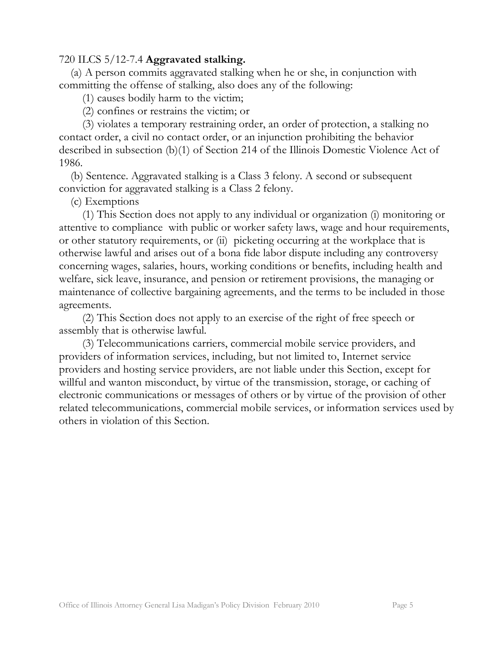#### 720 ILCS 5/12-7.4 **Aggravated stalking.**

 (a) A person commits aggravated stalking when he or she, in conjunction with committing the offense of stalking, also does any of the following:

(1) causes bodily harm to the victim;

(2) confines or restrains the victim; or

 (3) violates a temporary restraining order, an order of protection, a stalking no contact order, a civil no contact order, or an injunction prohibiting the behavior described in subsection (b)(1) of Section 214 of the Illinois Domestic Violence Act of 1986.

 (b) Sentence. Aggravated stalking is a Class 3 felony. A second or subsequent conviction for aggravated stalking is a Class 2 felony.

(c) Exemptions

 (1) This Section does not apply to any individual or organization (i) monitoring or attentive to compliance with public or worker safety laws, wage and hour requirements, or other statutory requirements, or (ii) picketing occurring at the workplace that is otherwise lawful and arises out of a bona fide labor dispute including any controversy concerning wages, salaries, hours, working conditions or benefits, including health and welfare, sick leave, insurance, and pension or retirement provisions, the managing or maintenance of collective bargaining agreements, and the terms to be included in those agreements.

 (2) This Section does not apply to an exercise of the right of free speech or assembly that is otherwise lawful.

 (3) Telecommunications carriers, commercial mobile service providers, and providers of information services, including, but not limited to, Internet service providers and hosting service providers, are not liable under this Section, except for willful and wanton misconduct, by virtue of the transmission, storage, or caching of electronic communications or messages of others or by virtue of the provision of other related telecommunications, commercial mobile services, or information services used by others in violation of this Section.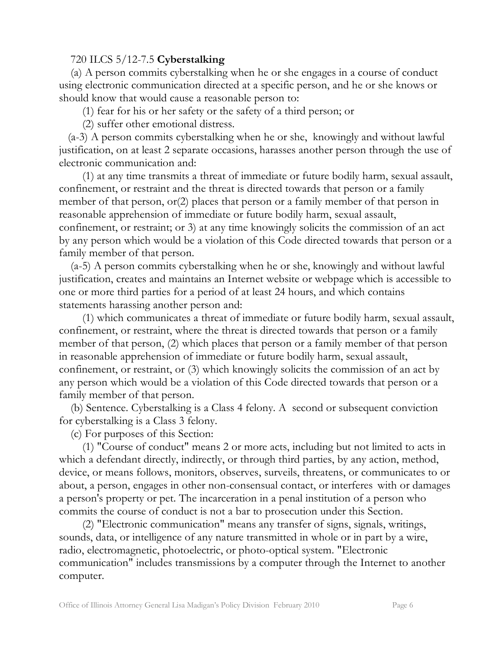#### 720 ILCS 5/12-7.5 **Cyberstalking**

 (a) A person commits cyberstalking when he or she engages in a course of conduct using electronic communication directed at a specific person, and he or she knows or should know that would cause a reasonable person to:

(1) fear for his or her safety or the safety of a third person; or

(2) suffer other emotional distress.

 (a-3) A person commits cyberstalking when he or she, knowingly and without lawful justification, on at least 2 separate occasions, harasses another person through the use of electronic communication and:

 (1) at any time transmits a threat of immediate or future bodily harm, sexual assault, confinement, or restraint and the threat is directed towards that person or a family member of that person, or(2) places that person or a family member of that person in reasonable apprehension of immediate or future bodily harm, sexual assault, confinement, or restraint; or 3) at any time knowingly solicits the commission of an act by any person which would be a violation of this Code directed towards that person or a family member of that person.

 (a-5) A person commits cyberstalking when he or she, knowingly and without lawful justification, creates and maintains an Internet website or webpage which is accessible to one or more third parties for a period of at least 24 hours, and which contains statements harassing another person and:

 (1) which communicates a threat of immediate or future bodily harm, sexual assault, confinement, or restraint, where the threat is directed towards that person or a family member of that person, (2) which places that person or a family member of that person in reasonable apprehension of immediate or future bodily harm, sexual assault, confinement, or restraint, or (3) which knowingly solicits the commission of an act by any person which would be a violation of this Code directed towards that person or a family member of that person.

 (b) Sentence. Cyberstalking is a Class 4 felony. A second or subsequent conviction for cyberstalking is a Class 3 felony.

(c) For purposes of this Section:

 (1) "Course of conduct" means 2 or more acts, including but not limited to acts in which a defendant directly, indirectly, or through third parties, by any action, method, device, or means follows, monitors, observes, surveils, threatens, or communicates to or about, a person, engages in other non-consensual contact, or interferes with or damages a person's property or pet. The incarceration in a penal institution of a person who commits the course of conduct is not a bar to prosecution under this Section.

 (2) "Electronic communication" means any transfer of signs, signals, writings, sounds, data, or intelligence of any nature transmitted in whole or in part by a wire, radio, electromagnetic, photoelectric, or photo-optical system. "Electronic communication" includes transmissions by a computer through the Internet to another computer.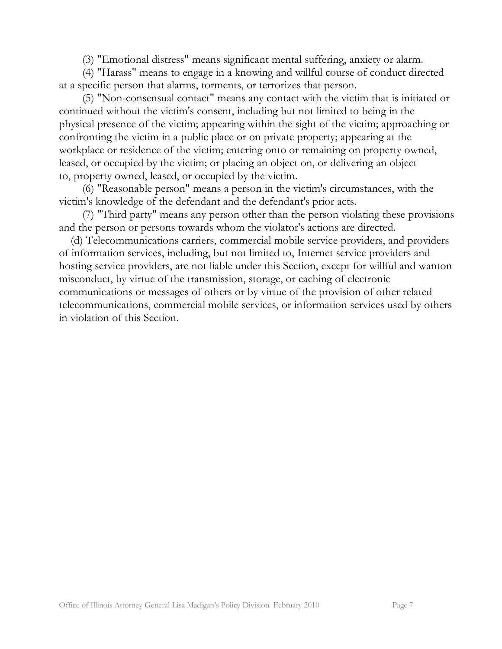(3) "Emotional distress" means significant mental suffering, anxiety or alarm.

 (4) "Harass" means to engage in a knowing and willful course of conduct directed at a specific person that alarms, torments, or terrorizes that person.

 (5) "Non-consensual contact" means any contact with the victim that is initiated or continued without the victim's consent, including but not limited to being in the physical presence of the victim; appearing within the sight of the victim; approaching or confronting the victim in a public place or on private property; appearing at the workplace or residence of the victim; entering onto or remaining on property owned, leased, or occupied by the victim; or placing an object on, or delivering an object to, property owned, leased, or occupied by the victim.

 (6) "Reasonable person" means a person in the victim's circumstances, with the victim's knowledge of the defendant and the defendant's prior acts.

 (7) "Third party" means any person other than the person violating these provisions and the person or persons towards whom the violator's actions are directed.

 (d) Telecommunications carriers, commercial mobile service providers, and providers of information services, including, but not limited to, Internet service providers and hosting service providers, are not liable under this Section, except for willful and wanton misconduct, by virtue of the transmission, storage, or caching of electronic communications or messages of others or by virtue of the provision of other related telecommunications, commercial mobile services, or information services used by others in violation of this Section.